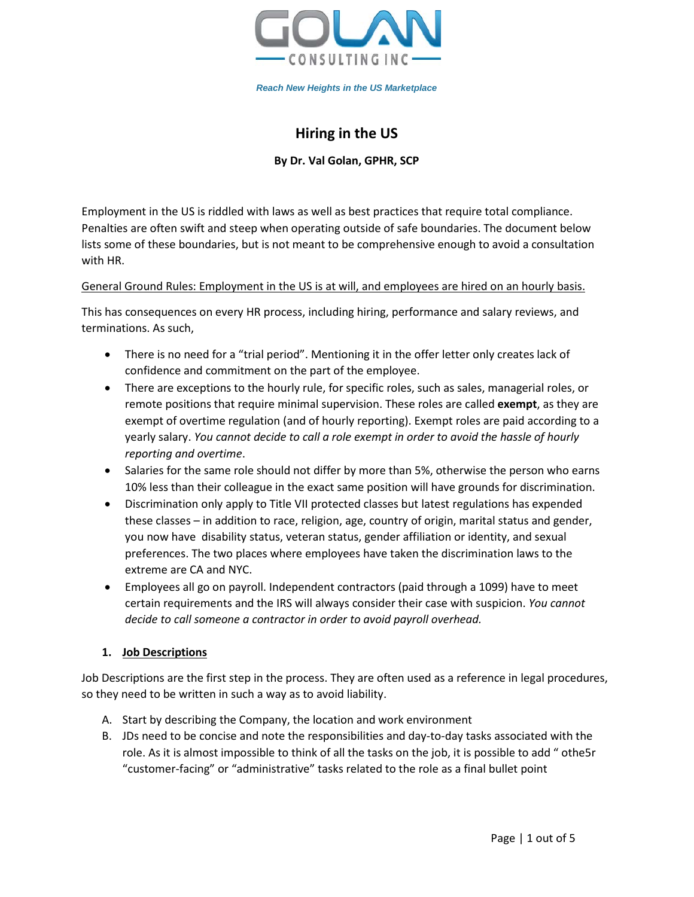

# **Hiring in the US**

**By Dr. Val Golan, GPHR, SCP**

Employment in the US is riddled with laws as well as best practices that require total compliance. Penalties are often swift and steep when operating outside of safe boundaries. The document below lists some of these boundaries, but is not meant to be comprehensive enough to avoid a consultation with HR.

# General Ground Rules: Employment in the US is at will, and employees are hired on an hourly basis.

This has consequences on every HR process, including hiring, performance and salary reviews, and terminations. As such,

- There is no need for a "trial period". Mentioning it in the offer letter only creates lack of confidence and commitment on the part of the employee.
- There are exceptions to the hourly rule, for specific roles, such as sales, managerial roles, or remote positions that require minimal supervision. These roles are called **exempt**, as they are exempt of overtime regulation (and of hourly reporting). Exempt roles are paid according to a yearly salary. *You cannot decide to call a role exempt in order to avoid the hassle of hourly reporting and overtime*.
- Salaries for the same role should not differ by more than 5%, otherwise the person who earns 10% less than their colleague in the exact same position will have grounds for discrimination.
- Discrimination only apply to Title VII protected classes but latest regulations has expended these classes – in addition to race, religion, age, country of origin, marital status and gender, you now have disability status, veteran status, gender affiliation or identity, and sexual preferences. The two places where employees have taken the discrimination laws to the extreme are CA and NYC.
- Employees all go on payroll. Independent contractors (paid through a 1099) have to meet certain requirements and the IRS will always consider their case with suspicion. *You cannot decide to call someone a contractor in order to avoid payroll overhead.*

# **1. Job Descriptions**

Job Descriptions are the first step in the process. They are often used as a reference in legal procedures, so they need to be written in such a way as to avoid liability.

- A. Start by describing the Company, the location and work environment
- B. JDs need to be concise and note the responsibilities and day-to-day tasks associated with the role. As it is almost impossible to think of all the tasks on the job, it is possible to add " othe5r "customer-facing" or "administrative" tasks related to the role as a final bullet point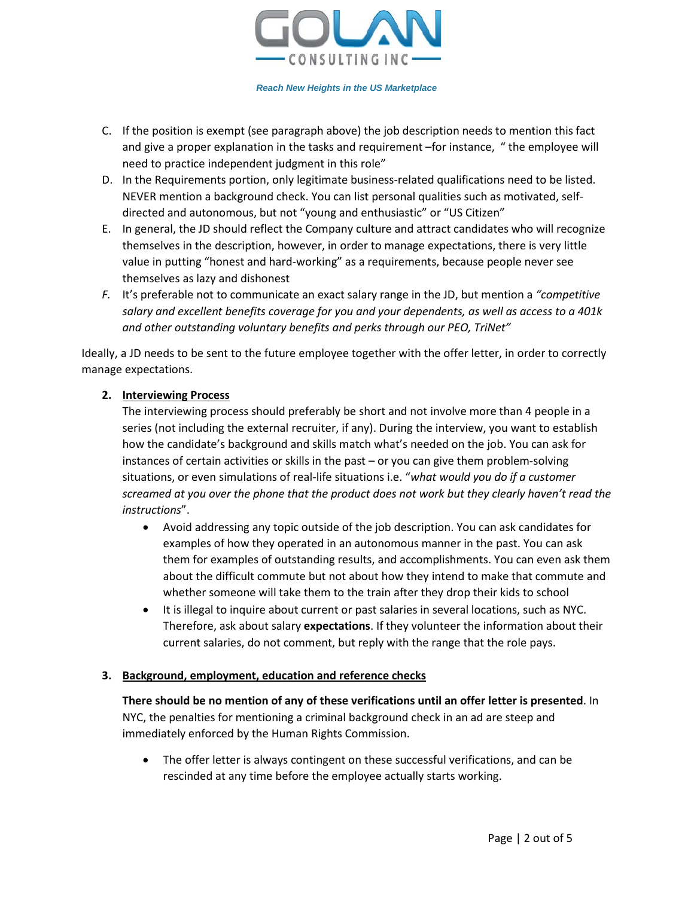

- C. If the position is exempt (see paragraph above) the job description needs to mention this fact and give a proper explanation in the tasks and requirement –for instance, " the employee will need to practice independent judgment in this role"
- D. In the Requirements portion, only legitimate business-related qualifications need to be listed. NEVER mention a background check. You can list personal qualities such as motivated, selfdirected and autonomous, but not "young and enthusiastic" or "US Citizen"
- E. In general, the JD should reflect the Company culture and attract candidates who will recognize themselves in the description, however, in order to manage expectations, there is very little value in putting "honest and hard-working" as a requirements, because people never see themselves as lazy and dishonest
- *F.* It's preferable not to communicate an exact salary range in the JD, but mention a *"competitive salary and excellent benefits coverage for you and your dependents, as well as access to a 401k and other outstanding voluntary benefits and perks through our PEO, TriNet"*

Ideally, a JD needs to be sent to the future employee together with the offer letter, in order to correctly manage expectations.

# **2. Interviewing Process**

The interviewing process should preferably be short and not involve more than 4 people in a series (not including the external recruiter, if any). During the interview, you want to establish how the candidate's background and skills match what's needed on the job. You can ask for instances of certain activities or skills in the past – or you can give them problem-solving situations, or even simulations of real-life situations i.e. "*what would you do if a customer screamed at you over the phone that the product does not work but they clearly haven't read the instructions*".

- Avoid addressing any topic outside of the job description. You can ask candidates for examples of how they operated in an autonomous manner in the past. You can ask them for examples of outstanding results, and accomplishments. You can even ask them about the difficult commute but not about how they intend to make that commute and whether someone will take them to the train after they drop their kids to school
- It is illegal to inquire about current or past salaries in several locations, such as NYC. Therefore, ask about salary **expectations**. If they volunteer the information about their current salaries, do not comment, but reply with the range that the role pays.

## **3. Background, employment, education and reference checks**

**There should be no mention of any of these verifications until an offer letter is presented**. In NYC, the penalties for mentioning a criminal background check in an ad are steep and immediately enforced by the Human Rights Commission.

• The offer letter is always contingent on these successful verifications, and can be rescinded at any time before the employee actually starts working.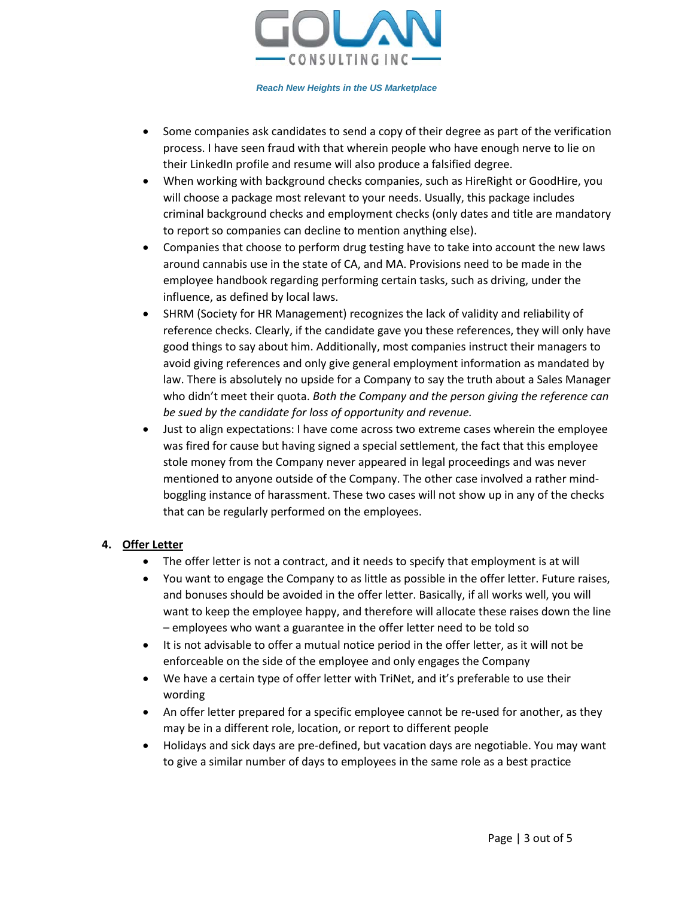

- Some companies ask candidates to send a copy of their degree as part of the verification process. I have seen fraud with that wherein people who have enough nerve to lie on their LinkedIn profile and resume will also produce a falsified degree.
- When working with background checks companies, such as HireRight or GoodHire, you will choose a package most relevant to your needs. Usually, this package includes criminal background checks and employment checks (only dates and title are mandatory to report so companies can decline to mention anything else).
- Companies that choose to perform drug testing have to take into account the new laws around cannabis use in the state of CA, and MA. Provisions need to be made in the employee handbook regarding performing certain tasks, such as driving, under the influence, as defined by local laws.
- SHRM (Society for HR Management) recognizes the lack of validity and reliability of reference checks. Clearly, if the candidate gave you these references, they will only have good things to say about him. Additionally, most companies instruct their managers to avoid giving references and only give general employment information as mandated by law. There is absolutely no upside for a Company to say the truth about a Sales Manager who didn't meet their quota. *Both the Company and the person giving the reference can be sued by the candidate for loss of opportunity and revenue.*
- Just to align expectations: I have come across two extreme cases wherein the employee was fired for cause but having signed a special settlement, the fact that this employee stole money from the Company never appeared in legal proceedings and was never mentioned to anyone outside of the Company. The other case involved a rather mindboggling instance of harassment. These two cases will not show up in any of the checks that can be regularly performed on the employees.

# **4. Offer Letter**

- The offer letter is not a contract, and it needs to specify that employment is at will
- You want to engage the Company to as little as possible in the offer letter. Future raises, and bonuses should be avoided in the offer letter. Basically, if all works well, you will want to keep the employee happy, and therefore will allocate these raises down the line – employees who want a guarantee in the offer letter need to be told so
- It is not advisable to offer a mutual notice period in the offer letter, as it will not be enforceable on the side of the employee and only engages the Company
- We have a certain type of offer letter with TriNet, and it's preferable to use their wording
- An offer letter prepared for a specific employee cannot be re-used for another, as they may be in a different role, location, or report to different people
- Holidays and sick days are pre-defined, but vacation days are negotiable. You may want to give a similar number of days to employees in the same role as a best practice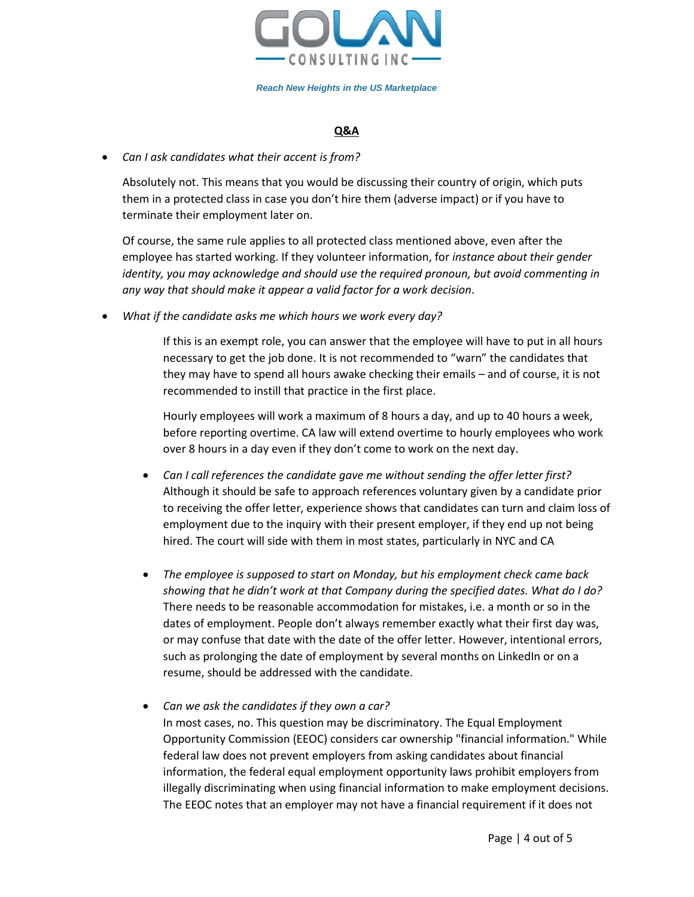

# **Q&A**

## • *Can I ask candidates what their accent is from?*

Absolutely not. This means that you would be discussing their country of origin, which puts them in a protected class in case you don't hire them (adverse impact) or if you have to terminate their employment later on.

Of course, the same rule applies to all protected class mentioned above, even after the employee has started working. If they volunteer information, for *instance about their gender identity, you may acknowledge and should use the required pronoun, but avoid commenting in any way that should make it appear a valid factor for a work decision*.

• *What if the candidate asks me which hours we work every day?*

If this is an exempt role, you can answer that the employee will have to put in all hours necessary to get the job done. It is not recommended to "warn" the candidates that they may have to spend all hours awake checking their emails – and of course, it is not recommended to instill that practice in the first place.

Hourly employees will work a maximum of 8 hours a day, and up to 40 hours a week, before reporting overtime. CA law will extend overtime to hourly employees who work over 8 hours in a day even if they don't come to work on the next day.

- *Can I call references the candidate gave me without sending the offer letter first?* Although it should be safe to approach references voluntary given by a candidate prior to receiving the offer letter, experience shows that candidates can turn and claim loss of employment due to the inquiry with their present employer, if they end up not being hired. The court will side with them in most states, particularly in NYC and CA
- *The employee is supposed to start on Monday, but his employment check came back showing that he didn't work at that Company during the specified dates. What do I do?* There needs to be reasonable accommodation for mistakes, i.e. a month or so in the dates of employment. People don't always remember exactly what their first day was, or may confuse that date with the date of the offer letter. However, intentional errors, such as prolonging the date of employment by several months on LinkedIn or on a resume, should be addressed with the candidate.
- *Can we ask the candidates if they own a car?* In most cases, no. This question may be discriminatory. The Equal Employment Opportunity Commission (EEOC) considers car ownership "financial information." While federal law does not prevent employers from asking candidates about financial information, the federal equal employment opportunity laws prohibit employers from illegally discriminating when using financial information to make employment decisions. The EEOC notes that an employer may not have a financial requirement if it does not